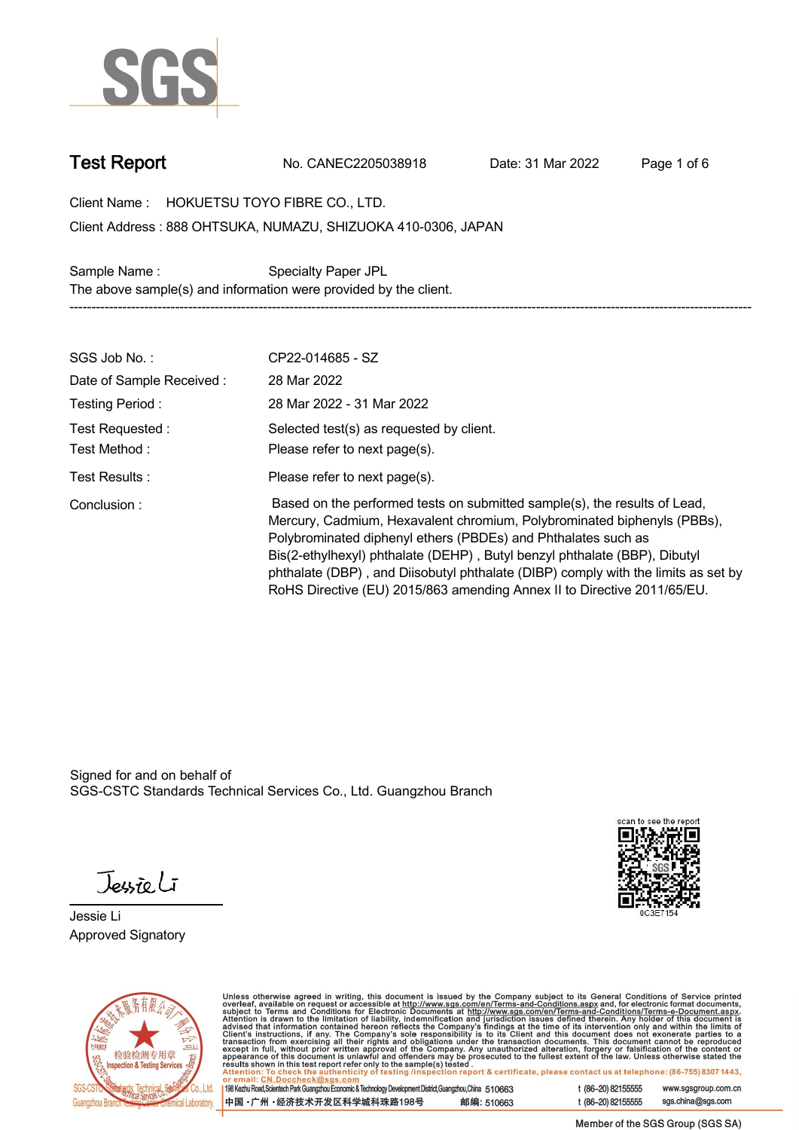

**Test Report. No. CANEC2205038918 . Date: 31 Mar 2022 . Page 1 of 6.**

**Client Name : HOKUETSU TOYO FIBRE CO., LTD. .**

**888 OHTSUKA, NUMAZU, SHIZUOKA 410-0306, JAPAN . Client Address :**

**Sample Name : Specialty Paper JPL . The above sample(s) and information were provided by the client. -----------------------------------------------------------------------------------------------------------------------------------------------------------**

| SGS Job No.:             | CP22-014685 - SZ                                                                                                                                                                                                                                                                                                                                                                                                                                                   |
|--------------------------|--------------------------------------------------------------------------------------------------------------------------------------------------------------------------------------------------------------------------------------------------------------------------------------------------------------------------------------------------------------------------------------------------------------------------------------------------------------------|
| Date of Sample Received: | 28 Mar 2022                                                                                                                                                                                                                                                                                                                                                                                                                                                        |
| Testing Period:          | 28 Mar 2022 - 31 Mar 2022                                                                                                                                                                                                                                                                                                                                                                                                                                          |
| Test Requested :         | Selected test(s) as requested by client.                                                                                                                                                                                                                                                                                                                                                                                                                           |
| Test Method:             | Please refer to next page(s).                                                                                                                                                                                                                                                                                                                                                                                                                                      |
| Test Results:            | Please refer to next page(s).                                                                                                                                                                                                                                                                                                                                                                                                                                      |
| Conclusion:              | Based on the performed tests on submitted sample(s), the results of Lead,<br>Mercury, Cadmium, Hexavalent chromium, Polybrominated biphenyls (PBBs),<br>Polybrominated diphenyl ethers (PBDEs) and Phthalates such as<br>Bis(2-ethylhexyl) phthalate (DEHP), Butyl benzyl phthalate (BBP), Dibutyl<br>phthalate (DBP), and Diisobutyl phthalate (DIBP) comply with the limits as set by<br>RoHS Directive (EU) 2015/863 amending Annex II to Directive 2011/65/EU. |

Signed for and on behalf of SGS-CSTC Standards Technical Services Co., Ltd. Guangzhou Branch.

Jessieli

**Jessie Li. Approved Signatory .**





Unless otherwise agreed in writing, this document is issued by the Company subject to its General Conditions of Service printed<br>overleaf, available on request or accessible at http://www.sgs.com/en/Terms-and-Conditions.as

| 198 Kezhu Road,Scientech Park Guangzhou Economic & Technology Development District,Guangzhou,China 510663 |            |
|-----------------------------------------------------------------------------------------------------------|------------|
| 中国 •广州 •经济技术开发区科学城科珠路198号                                                                                 | 邮编: 510663 |

t (86-20) 82155555 www.sgsgroup.com.cn sgs.china@sgs.com t (86-20) 82155555

Member of the SGS Group (SGS SA)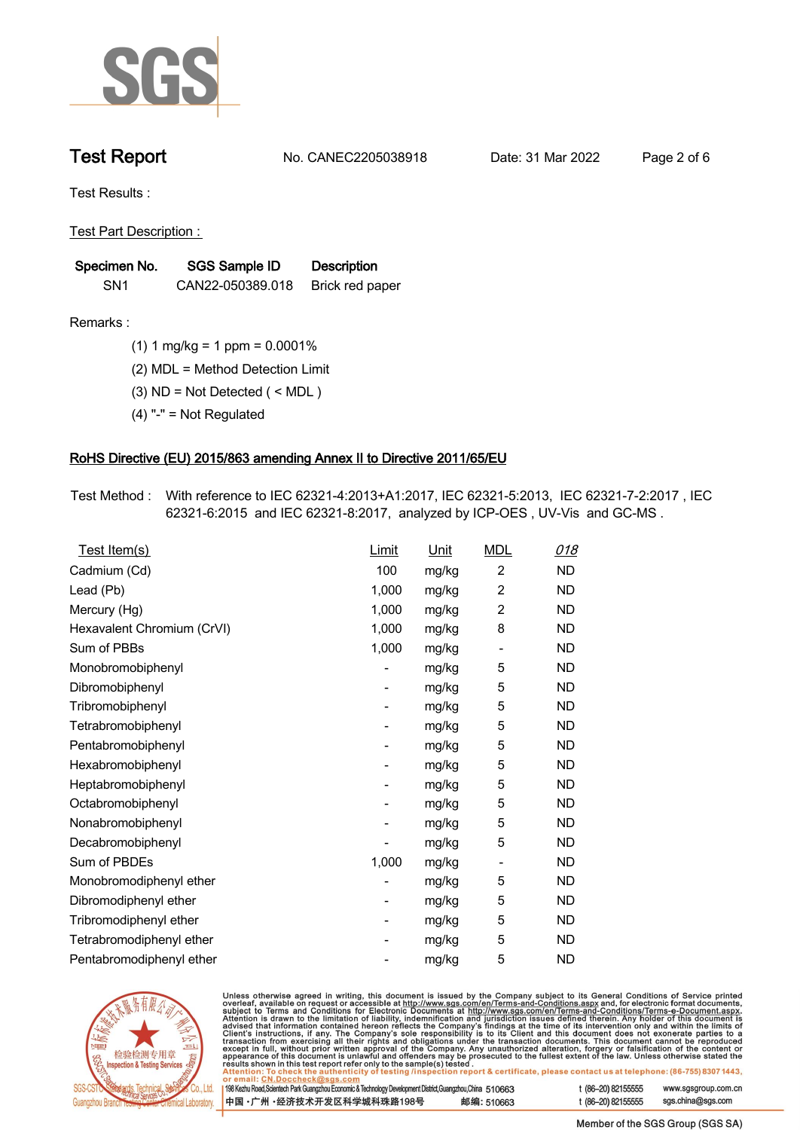

**Test Report. No. CANEC2205038918 . Date: 31 Mar 2022 . Page 2 of 6.**

**Test Results :.**

**Test Part Description : .**

| Specimen No.    | SGS Sample ID    | <b>Description</b> |  |
|-----------------|------------------|--------------------|--|
| SN <sub>1</sub> | CAN22-050389.018 | Brick red paper    |  |

- **Remarks :.(1) 1 mg/kg = 1 ppm = 0.0001% .**
	- **(2) MDL = Method Detection Limit .**
	- **(3) ND = Not Detected ( < MDL ) .**
	- **(4) "-" = Not Regulated .**

## **RoHS Directive (EU) 2015/863 amending Annex II to Directive 2011/65/EU.**

**Test Method :. With reference to IEC 62321-4:2013+A1:2017, IEC 62321-5:2013, IEC 62321-7-2:2017 , IEC 62321-6:2015 and IEC 62321-8:2017, analyzed by ICP-OES , UV-Vis and GC-MS . .**

| Test Item(s)               | Limit                    | <u>Unit</u> | <b>MDL</b>                   | <u>018</u> |
|----------------------------|--------------------------|-------------|------------------------------|------------|
| Cadmium (Cd)               | 100                      | mg/kg       | $\overline{c}$               | <b>ND</b>  |
| Lead (Pb)                  | 1,000                    | mg/kg       | $\overline{2}$               | ND.        |
| Mercury (Hg)               | 1,000                    | mg/kg       | $\overline{2}$               | <b>ND</b>  |
| Hexavalent Chromium (CrVI) | 1,000                    | mg/kg       | 8                            | <b>ND</b>  |
| Sum of PBBs                | 1,000                    | mg/kg       | $\overline{\phantom{a}}$     | <b>ND</b>  |
| Monobromobiphenyl          |                          | mg/kg       | 5                            | <b>ND</b>  |
| Dibromobiphenyl            | $\overline{\phantom{0}}$ | mg/kg       | 5                            | <b>ND</b>  |
| Tribromobiphenyl           |                          | mg/kg       | 5                            | <b>ND</b>  |
| Tetrabromobiphenyl         |                          | mg/kg       | 5                            | <b>ND</b>  |
| Pentabromobiphenyl         | -                        | mg/kg       | 5                            | <b>ND</b>  |
| Hexabromobiphenyl          |                          | mg/kg       | 5                            | <b>ND</b>  |
| Heptabromobiphenyl         |                          | mg/kg       | 5                            | <b>ND</b>  |
| Octabromobiphenyl          | $\overline{\phantom{0}}$ | mg/kg       | 5                            | <b>ND</b>  |
| Nonabromobiphenyl          |                          | mg/kg       | 5                            | <b>ND</b>  |
| Decabromobiphenyl          |                          | mg/kg       | 5                            | <b>ND</b>  |
| Sum of PBDEs               | 1,000                    | mg/kg       | $\qquad \qquad \blacksquare$ | <b>ND</b>  |
| Monobromodiphenyl ether    |                          | mg/kg       | 5                            | <b>ND</b>  |
| Dibromodiphenyl ether      |                          | mg/kg       | 5                            | <b>ND</b>  |
| Tribromodiphenyl ether     | -                        | mg/kg       | 5                            | <b>ND</b>  |
| Tetrabromodiphenyl ether   |                          | mg/kg       | 5                            | <b>ND</b>  |
| Pentabromodiphenyl ether   |                          | mg/kg       | 5                            | <b>ND</b>  |
|                            |                          |             |                              |            |



Unless otherwise agreed in writing, this document is issued by the Company subject to its General Conditions of Service printed overleaf, available on request or accessible at http://www.sgs.com/en/Terms-and-Conditions.as

| or email: CN.Doccheck@sgs.com                                                                                |            |                    |                     |
|--------------------------------------------------------------------------------------------------------------|------------|--------------------|---------------------|
| 198 Kezhu Road, Scientech Park Guangzhou Economic & Technology Development District, Guangzhou, China 510663 |            | t (86-20) 82155555 | www.sgsgroup.com.cl |
| ┃中国 •广州 •经济技术开发区科学城科珠路198号 ↓                                                                                 | 邮编: 510663 | t (86-20) 82155555 | sgs.china@sgs.com   |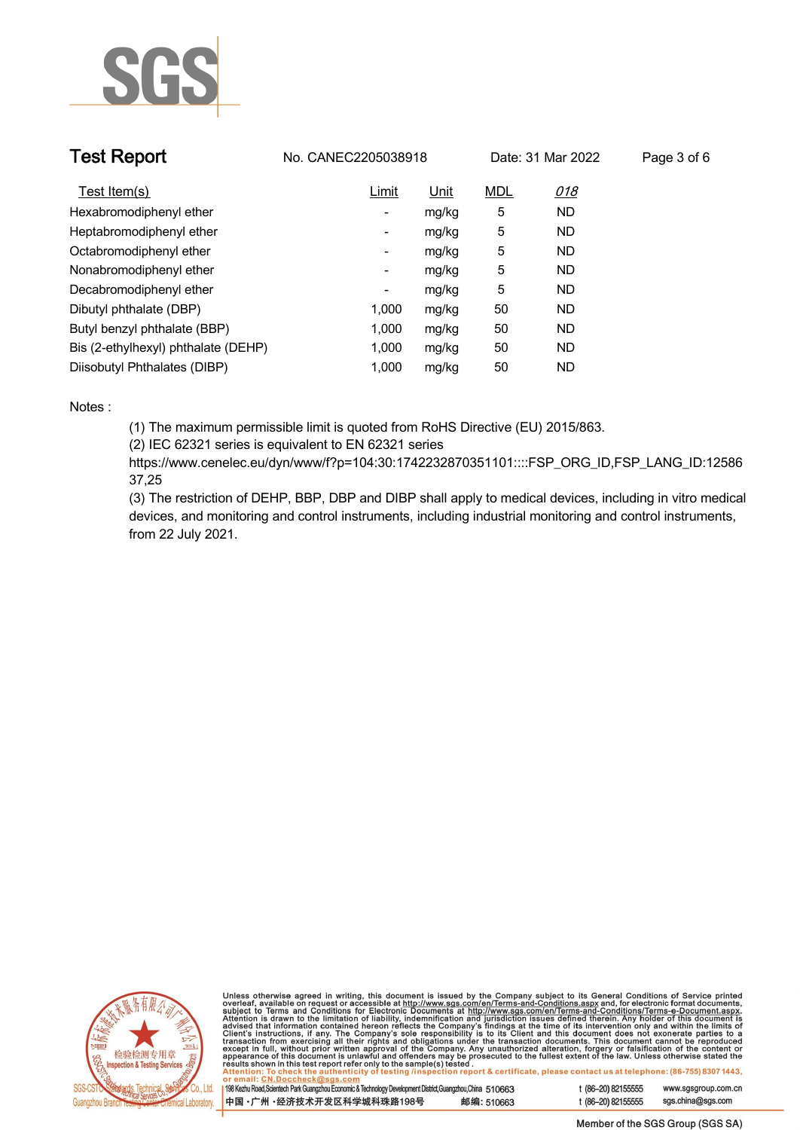

| <b>Test Report</b>                  | No. CANEC2205038918      |       |            | Date: 31 Mar 2022 | Page 3 of 6 |
|-------------------------------------|--------------------------|-------|------------|-------------------|-------------|
| Test Item(s)                        | Limit                    | Unit  | <b>MDL</b> | <u>018</u>        |             |
| Hexabromodiphenyl ether             | Ξ.                       | mg/kg | 5          | <b>ND</b>         |             |
| Heptabromodiphenyl ether            | -                        | mg/kg | 5          | <b>ND</b>         |             |
| Octabromodiphenyl ether             | -                        | mg/kg | 5          | <b>ND</b>         |             |
| Nonabromodiphenyl ether             | $\overline{\phantom{a}}$ | mg/kg | 5          | <b>ND</b>         |             |
| Decabromodiphenyl ether             | ٠                        | mg/kg | 5          | <b>ND</b>         |             |
| Dibutyl phthalate (DBP)             | 1.000                    | mg/kg | 50         | ND                |             |
| Butyl benzyl phthalate (BBP)        | 1.000                    | mg/kg | 50         | ND                |             |
| Bis (2-ethylhexyl) phthalate (DEHP) | 1.000                    | mg/kg | 50         | <b>ND</b>         |             |
| Diisobutyl Phthalates (DIBP)        | 1.000                    | mg/kg | 50         | <b>ND</b>         |             |

### **Notes :.**

**(1) The maximum permissible limit is quoted from RoHS Directive (EU) 2015/863.**

**(2) IEC 62321 series is equivalent to EN 62321 series**

**https://www.cenelec.eu/dyn/www/f?p=104:30:1742232870351101::::FSP\_ORG\_ID,FSP\_LANG\_ID:12586 37,25**

**(3) The restriction of DEHP, BBP, DBP and DIBP shall apply to medical devices, including in vitro medical devices, and monitoring and control instruments, including industrial monitoring and control instruments, from 22 July 2021..**



Unless otherwise agreed in writing, this document is issued by the Company subject to its General Conditions of Service printed<br>overleaf, available on request or accessible at http://www.sgs.com/en/Terms-and-Conditions.as

| 198 Kezhu Road,Scientech Park Guangzhou Economic & Technology Development District,Guangzhou,China 510663 |            |  |
|-----------------------------------------------------------------------------------------------------------|------------|--|
| 中国 •广州 •经济技术开发区科学城科珠路198号                                                                                 | 邮编: 510663 |  |

www.sgsgroup.com.cn

t (86-20) 82155555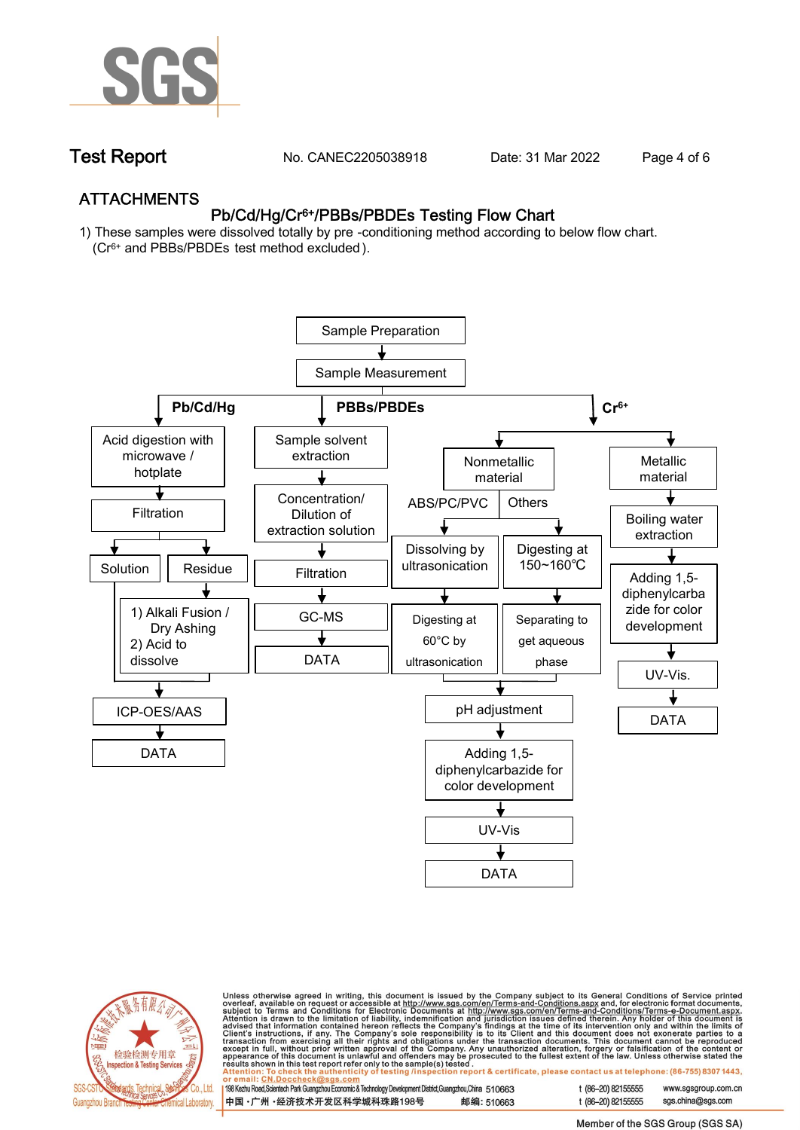

**Test Report. No. CANEC2205038918 . Date: 31 Mar 2022 . Page 4 of 6.**

## **ATTACHMENTS Pb/Cd/Hg/Cr6+/PBBs/PBDEs Testing Flow Chart**

**1) These samples were dissolved totally by pre -conditioning method according to below flow chart. (Cr6+ and PBBs/PBDEs test method excluded ).**





Unless otherwise agreed in writing, this document is issued by the Company subject to its General Conditions of Service printed<br>overleaf, available on request or accessible at http://www.sgs.com/en/Terms-and-Conditions.as

| 198 Kezhu Road,Scientech Park Guangzhou Economic & Technology Development District,Guangzhou,China   51 O663 |            |
|--------------------------------------------------------------------------------------------------------------|------------|
| 中国 •广州 •经济技术开发区科学城科珠路198号                                                                                    | 邮编: 510663 |

t (86-20) 82155555 sas.china@sas.com

www.sgsgroup.com.cn

t (86-20) 82155555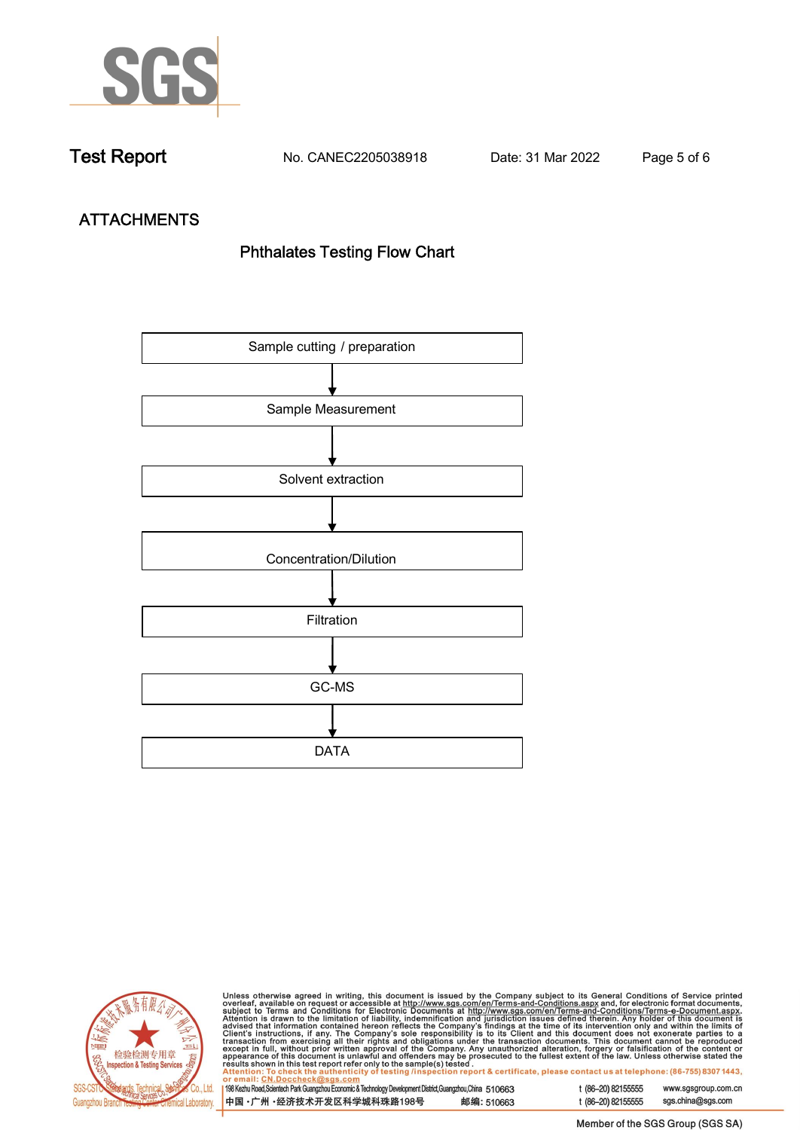

**Test Report. No. CANEC2205038918 . Date: 31 Mar 2022 . Page 5 of 6.**

# **ATTACHMENTS Phthalates Testing Flow Chart**





Unless otherwise agreed in writing, this document is issued by the Company subject to its General Conditions of Service printed overleaf, available on request or accessible at http://www.sgs.com/en/Terms-and-Conditions.as

| or email: CN.Doccheck@sus.com                                                                             |            |  |
|-----------------------------------------------------------------------------------------------------------|------------|--|
| 198 Kezhu Road,Scientech Park Guangzhou Economic & Technology Development District,Guangzhou,China 510663 |            |  |
|                                                                                                           |            |  |
|                                                                                                           |            |  |
| 中国 •广州 •经济技术开发区科学城科珠路198号                                                                                 | 邮编: 510663 |  |
|                                                                                                           |            |  |

t (86-20) 82155555 www.sgsgroup.com.cn t (86-20) 82155555 sgs.china@sgs.com